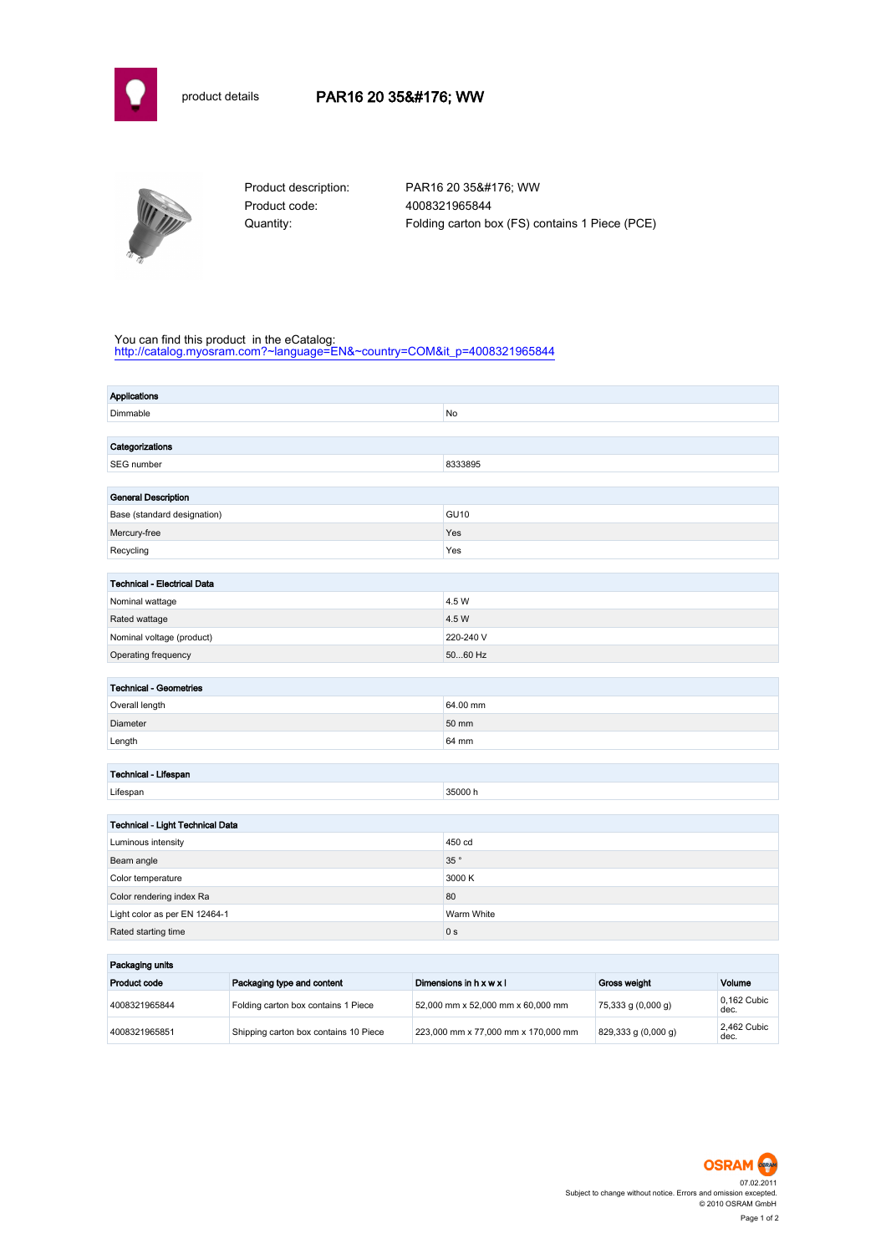



Product code: 4008321965844

Product description: PAR16 20 35° WW Quantity: Folding carton box (FS) contains 1 Piece (PCE)

## You can find this product in the eCatalog:

[http://catalog.myosram.com?~language=EN&~country=COM&it\\_p=4008321965844](http://catalog.myosram.com?~language=EN&~country=COM&it_p=4008321965844)

| <b>Applications</b>                |                |
|------------------------------------|----------------|
| Dimmable                           | No             |
|                                    |                |
| Categorizations                    |                |
| SEG number                         | 8333895        |
|                                    |                |
| <b>General Description</b>         |                |
| Base (standard designation)        | <b>GU10</b>    |
| Mercury-free                       | Yes            |
| Recycling                          | Yes            |
|                                    |                |
| <b>Technical - Electrical Data</b> |                |
| Nominal wattage                    | 4.5 W          |
| Rated wattage                      | 4.5 W          |
| Nominal voltage (product)          | 220-240 V      |
| Operating frequency                | 5060 Hz        |
| <b>Technical - Geometries</b>      |                |
| Overall length                     | 64.00 mm       |
| Diameter                           | 50 mm          |
|                                    | 64 mm          |
| Length                             |                |
| Technical - Lifespan               |                |
| Lifespan                           | 35000h         |
|                                    |                |
| Technical - Light Technical Data   |                |
| Luminous intensity                 | 450 cd         |
| Beam angle                         | 35 $^{\circ}$  |
| Color temperature                  | 3000 K         |
| Color rendering index Ra           | 80             |
| Light color as per EN 12464-1      | Warm White     |
| Rated starting time                | 0 <sub>s</sub> |
|                                    |                |
| Packaging units                    |                |

| Packaging units |                                       |                                     |                      |                     |  |
|-----------------|---------------------------------------|-------------------------------------|----------------------|---------------------|--|
| Product code    | Packaging type and content            | Dimensions in h x w x l             | <b>Gross weight</b>  | Volume              |  |
| 4008321965844   | Folding carton box contains 1 Piece   | 52,000 mm x 52,000 mm x 60,000 mm   | $75,333$ g (0,000 g) | 0.162 Cubic<br>dec. |  |
| 4008321965851   | Shipping carton box contains 10 Piece | 223,000 mm x 77,000 mm x 170,000 mm | 829,333 g(0,000 g)   | 2.462 Cubic<br>dec. |  |